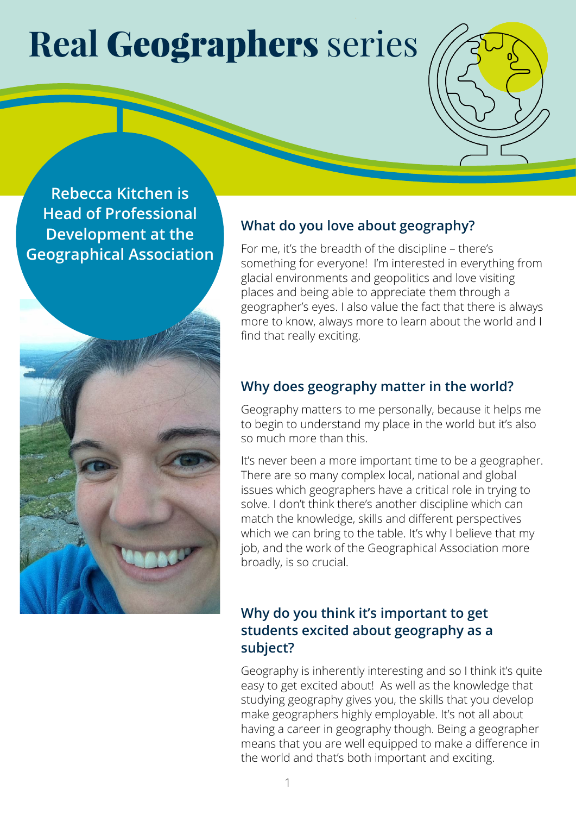# **Real** Geographers series

**Rebecca Kitchen is Head of Professional Development at the Geographical Association**



## **What do you love about geography?**

For me, it's the breadth of the discipline – there's something for everyone! I'm interested in everything from glacial environments and geopolitics and love visiting places and being able to appreciate them through a geographer's eyes. I also value the fact that there is always more to know, always more to learn about the world and I find that really exciting.

### **Why does geography matter in the world?**

Geography matters to me personally, because it helps me to begin to understand my place in the world but it's also so much more than this.

It's never been a more important time to be a geographer. There are so many complex local, national and global issues which geographers have a critical role in trying to solve. I don't think there's another discipline which can match the knowledge, skills and different perspectives which we can bring to the table. It's why I believe that my job, and the work of the Geographical Association more broadly, is so crucial.

#### **Why do you think it's important to get students excited about geography as a subject?**

Geography is inherently interesting and so I think it's quite easy to get excited about! As well as the knowledge that studying geography gives you, the skills that you develop make geographers highly employable. It's not all about having a career in geography though. Being a geographer means that you are well equipped to make a difference in the world and that's both important and exciting.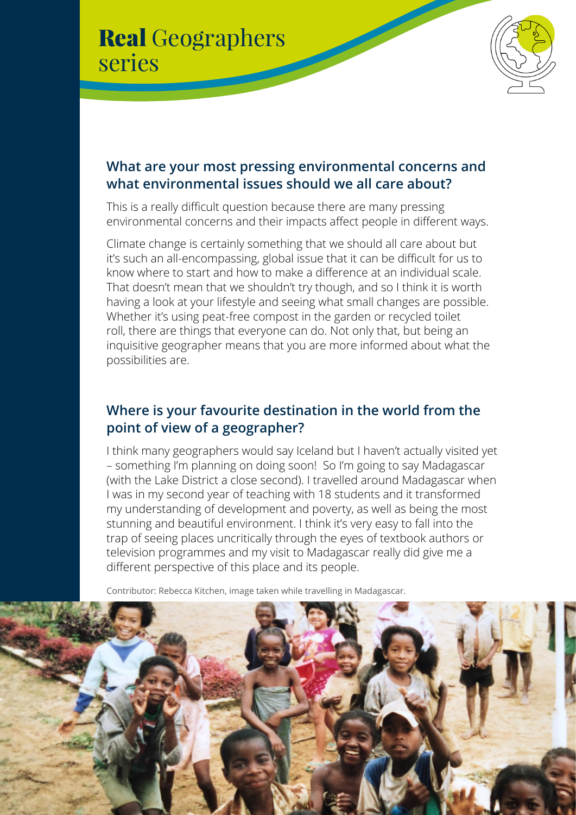



#### **What are your most pressing environmental concerns and what environmental issues should we all care about?**

This is a really difficult question because there are many pressing environmental concerns and their impacts affect people in different ways.

Climate change is certainly something that we should all care about but it's such an all-encompassing, global issue that it can be difficult for us to know where to start and how to make a difference at an individual scale. That doesn't mean that we shouldn't try though, and so I think it is worth having a look at your lifestyle and seeing what small changes are possible. Whether it's using peat-free compost in the garden or recycled toilet roll, there are things that everyone can do. Not only that, but being an inquisitive geographer means that you are more informed about what the possibilities are.

#### **Where is your favourite destination in the world from the point of view of a geographer?**

I think many geographers would say Iceland but I haven't actually visited yet – something I'm planning on doing soon! So I'm going to say Madagascar (with the Lake District a close second). I travelled around Madagascar when I was in my second year of teaching with 18 students and it transformed my understanding of development and poverty, as well as being the most stunning and beautiful environment. I think it's very easy to fall into the trap of seeing places uncritically through the eyes of textbook authors or television programmes and my visit to Madagascar really did give me a different perspective of this place and its people.

Contributor: Rebecca Kitchen, image taken while travelling in Madagascar.